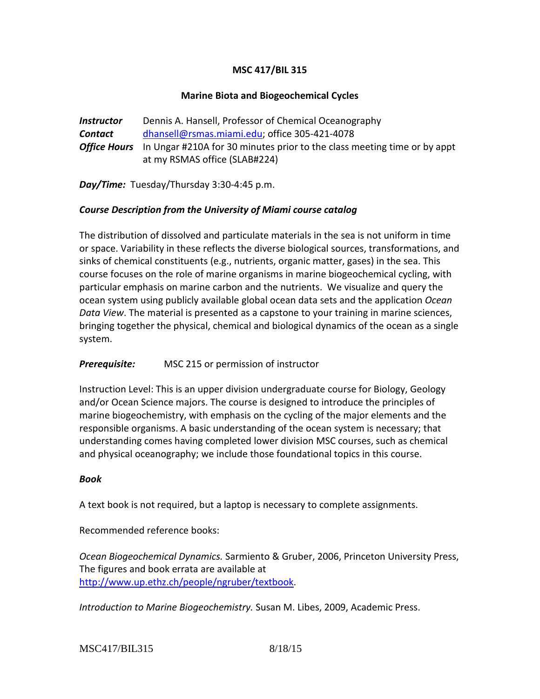# **MSC 417/BIL 315**

## **Marine Biota and Biogeochemical Cycles**

**Instructor** Dennis A. Hansell, Professor of Chemical Oceanography *Contact* [dhansell@rsmas.miami.edu;](mailto:dhansell@rsmas.miami.edu) office 305-421-4078 *Office Hours* In Ungar #210A for 30 minutes prior to the class meeting time or by appt at my RSMAS office (SLAB#224)

*Day/Time:* Tuesday/Thursday 3:30-4:45 p.m.

### *Course Description from the University of Miami course catalog*

The distribution of dissolved and particulate materials in the sea is not uniform in time or space. Variability in these reflects the diverse biological sources, transformations, and sinks of chemical constituents (e.g., nutrients, organic matter, gases) in the sea. This course focuses on the role of marine organisms in marine biogeochemical cycling, with particular emphasis on marine carbon and the nutrients. We visualize and query the ocean system using publicly available global ocean data sets and the application *Ocean Data View*. The material is presented as a capstone to your training in marine sciences, bringing together the physical, chemical and biological dynamics of the ocean as a single system.

### *Prerequisite:* MSC 215 or permission of instructor

Instruction Level: This is an upper division undergraduate course for Biology, Geology and/or Ocean Science majors. The course is designed to introduce the principles of marine biogeochemistry, with emphasis on the cycling of the major elements and the responsible organisms. A basic understanding of the ocean system is necessary; that understanding comes having completed lower division MSC courses, such as chemical and physical oceanography; we include those foundational topics in this course.

### *Book*

A text book is not required, but a laptop is necessary to complete assignments.

Recommended reference books:

*Ocean Biogeochemical Dynamics.* Sarmiento & Gruber, 2006, Princeton University Press, The figures and book errata are available at [http://www.up.ethz.ch/people/ngruber/textbook.](http://www.up.ethz.ch/people/ngruber/textbook)

*Introduction to Marine Biogeochemistry.* Susan M. Libes, 2009, Academic Press.

MSC417/BIL315 8/18/15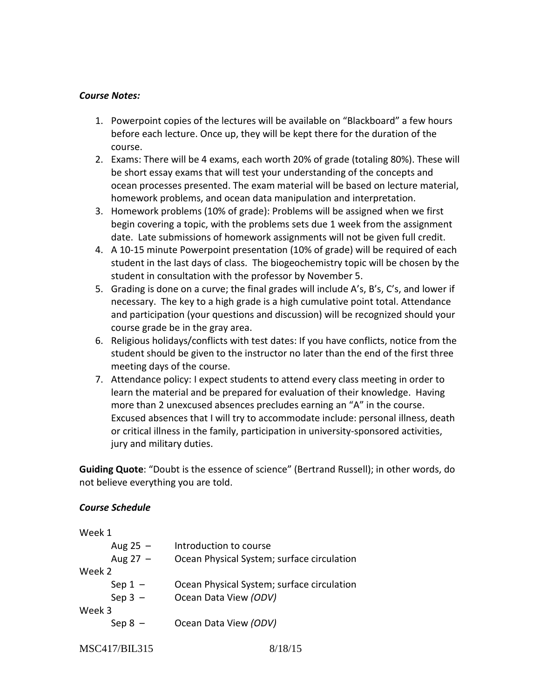#### *Course Notes:*

- 1. Powerpoint copies of the lectures will be available on "Blackboard" a few hours before each lecture. Once up, they will be kept there for the duration of the course.
- 2. Exams: There will be 4 exams, each worth 20% of grade (totaling 80%). These will be short essay exams that will test your understanding of the concepts and ocean processes presented. The exam material will be based on lecture material, homework problems, and ocean data manipulation and interpretation.
- 3. Homework problems (10% of grade): Problems will be assigned when we first begin covering a topic, with the problems sets due 1 week from the assignment date. Late submissions of homework assignments will not be given full credit.
- 4. A 10-15 minute Powerpoint presentation (10% of grade) will be required of each student in the last days of class. The biogeochemistry topic will be chosen by the student in consultation with the professor by November 5.
- 5. Grading is done on a curve; the final grades will include A's, B's, C's, and lower if necessary. The key to a high grade is a high cumulative point total. Attendance and participation (your questions and discussion) will be recognized should your course grade be in the gray area.
- 6. Religious holidays/conflicts with test dates: If you have conflicts, notice from the student should be given to the instructor no later than the end of the first three meeting days of the course.
- 7. Attendance policy: I expect students to attend every class meeting in order to learn the material and be prepared for evaluation of their knowledge. Having more than 2 unexcused absences precludes earning an "A" in the course. Excused absences that I will try to accommodate include: personal illness, death or critical illness in the family, participation in university-sponsored activities, jury and military duties.

**Guiding Quote**: "Doubt is the essence of science" (Bertrand Russell); in other words, do not believe everything you are told.

### *Course Schedule*

| Week 1     |                                            |
|------------|--------------------------------------------|
| Aug $25 -$ | Introduction to course                     |
| Aug $27 -$ | Ocean Physical System; surface circulation |
| Week 2     |                                            |
| Sep $1 -$  | Ocean Physical System; surface circulation |
| Sep $3 -$  | Ocean Data View (ODV)                      |
| Week 3     |                                            |
| Sep $8 -$  | Ocean Data View (ODV)                      |
|            |                                            |

```
MSC417/BIL315 8/18/15
```